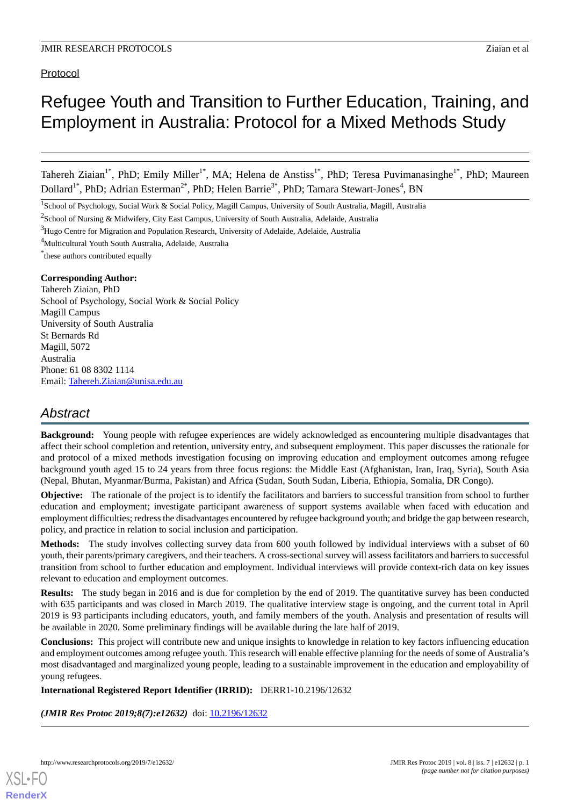# Protocol

# Refugee Youth and Transition to Further Education, Training, and Employment in Australia: Protocol for a Mixed Methods Study

Tahereh Ziaian<sup>1\*</sup>, PhD; Emily Miller<sup>1\*</sup>, MA; Helena de Anstiss<sup>1\*</sup>, PhD; Teresa Puvimanasinghe<sup>1\*</sup>, PhD; Maureen Dollard<sup>1\*</sup>, PhD; Adrian Esterman<sup>2\*</sup>, PhD; Helen Barrie<sup>3\*</sup>, PhD; Tamara Stewart-Jones<sup>4</sup>, BN

<sup>1</sup>School of Psychology, Social Work & Social Policy, Magill Campus, University of South Australia, Magill, Australia

<sup>2</sup>School of Nursing & Midwifery, City East Campus, University of South Australia, Adelaide, Australia

<sup>3</sup>Hugo Centre for Migration and Population Research, University of Adelaide, Adelaide, Australia

<sup>4</sup>Multicultural Youth South Australia, Adelaide, Australia

\* these authors contributed equally

#### **Corresponding Author:**

Tahereh Ziaian, PhD School of Psychology, Social Work & Social Policy Magill Campus University of South Australia St Bernards Rd Magill, 5072 Australia Phone: 61 08 8302 1114 Email: [Tahereh.Ziaian@unisa.edu.au](mailto:Tahereh.Ziaian@unisa.edu.au)

# *Abstract*

**Background:** Young people with refugee experiences are widely acknowledged as encountering multiple disadvantages that affect their school completion and retention, university entry, and subsequent employment. This paper discusses the rationale for and protocol of a mixed methods investigation focusing on improving education and employment outcomes among refugee background youth aged 15 to 24 years from three focus regions: the Middle East (Afghanistan, Iran, Iraq, Syria), South Asia (Nepal, Bhutan, Myanmar/Burma, Pakistan) and Africa (Sudan, South Sudan, Liberia, Ethiopia, Somalia, DR Congo).

**Objective:** The rationale of the project is to identify the facilitators and barriers to successful transition from school to further education and employment; investigate participant awareness of support systems available when faced with education and employment difficulties; redress the disadvantages encountered by refugee background youth; and bridge the gap between research, policy, and practice in relation to social inclusion and participation.

**Methods:** The study involves collecting survey data from 600 youth followed by individual interviews with a subset of 60 youth, their parents/primary caregivers, and their teachers. A cross-sectional survey will assess facilitators and barriers to successful transition from school to further education and employment. Individual interviews will provide context-rich data on key issues relevant to education and employment outcomes.

**Results:** The study began in 2016 and is due for completion by the end of 2019. The quantitative survey has been conducted with 635 participants and was closed in March 2019. The qualitative interview stage is ongoing, and the current total in April 2019 is 93 participants including educators, youth, and family members of the youth. Analysis and presentation of results will be available in 2020. Some preliminary findings will be available during the late half of 2019.

**Conclusions:** This project will contribute new and unique insights to knowledge in relation to key factors influencing education and employment outcomes among refugee youth. This research will enable effective planning for the needs of some of Australia's most disadvantaged and marginalized young people, leading to a sustainable improvement in the education and employability of young refugees.

**International Registered Report Identifier (IRRID):** DERR1-10.2196/12632

*(JMIR Res Protoc 2019;8(7):e12632)* doi: [10.2196/12632](http://dx.doi.org/10.2196/12632)

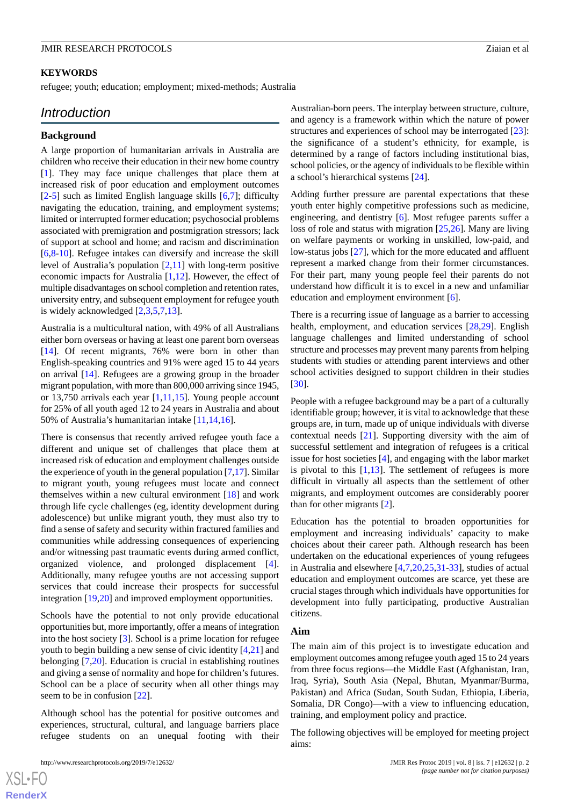#### **KEYWORDS**

refugee; youth; education; employment; mixed-methods; Australia

## *Introduction*

#### **Background**

A large proportion of humanitarian arrivals in Australia are children who receive their education in their new home country [[1\]](#page-6-0). They may face unique challenges that place them at increased risk of poor education and employment outcomes [[2](#page-6-1)[-5](#page-6-2)] such as limited English language skills [[6](#page-6-3)[,7](#page-6-4)]; difficulty navigating the education, training, and employment systems; limited or interrupted former education; psychosocial problems associated with premigration and postmigration stressors; lack of support at school and home; and racism and discrimination [[6](#page-6-3)[,8](#page-6-5)-[10\]](#page-6-6). Refugee intakes can diversify and increase the skill level of Australia's population [\[2,](#page-6-1)[11\]](#page-6-7) with long-term positive economic impacts for Australia [[1,](#page-6-0)[12](#page-6-8)]. However, the effect of multiple disadvantages on school completion and retention rates, university entry, and subsequent employment for refugee youth is widely acknowledged [[2,](#page-6-1)[3](#page-6-9),[5,](#page-6-2)[7](#page-6-4),[13\]](#page-6-10).

Australia is a multicultural nation, with 49% of all Australians either born overseas or having at least one parent born overseas [[14\]](#page-6-11). Of recent migrants, 76% were born in other than English-speaking countries and 91% were aged 15 to 44 years on arrival [\[14](#page-6-11)]. Refugees are a growing group in the broader migrant population, with more than 800,000 arriving since 1945, or 13,750 arrivals each year [\[1,](#page-6-0)[11](#page-6-7)[,15](#page-6-12)]. Young people account for 25% of all youth aged 12 to 24 years in Australia and about 50% of Australia's humanitarian intake [\[11](#page-6-7),[14](#page-6-11)[,16](#page-6-13)].

There is consensus that recently arrived refugee youth face a different and unique set of challenges that place them at increased risk of education and employment challenges outside the experience of youth in the general population [[7,](#page-6-4)[17\]](#page-6-14). Similar to migrant youth, young refugees must locate and connect themselves within a new cultural environment [[18\]](#page-6-15) and work through life cycle challenges (eg, identity development during adolescence) but unlike migrant youth, they must also try to find a sense of safety and security within fractured families and communities while addressing consequences of experiencing and/or witnessing past traumatic events during armed conflict, organized violence, and prolonged displacement [[4\]](#page-6-16). Additionally, many refugee youths are not accessing support services that could increase their prospects for successful integration [[19,](#page-6-17)[20](#page-6-18)] and improved employment opportunities.

Schools have the potential to not only provide educational opportunities but, more importantly, offer a means of integration into the host society [\[3](#page-6-9)]. School is a prime location for refugee youth to begin building a new sense of civic identity [\[4](#page-6-16),[21\]](#page-6-19) and belonging [[7,](#page-6-4)[20](#page-6-18)]. Education is crucial in establishing routines and giving a sense of normality and hope for children's futures. School can be a place of security when all other things may seem to be in confusion [\[22](#page-6-20)].

Although school has the potential for positive outcomes and experiences, structural, cultural, and language barriers place refugee students on an unequal footing with their

Australian-born peers. The interplay between structure, culture, and agency is a framework within which the nature of power structures and experiences of school may be interrogated [[23\]](#page-7-0): the significance of a student's ethnicity, for example, is determined by a range of factors including institutional bias, school policies, or the agency of individuals to be flexible within a school's hierarchical systems [\[24](#page-7-1)].

Adding further pressure are parental expectations that these youth enter highly competitive professions such as medicine, engineering, and dentistry [[6\]](#page-6-3). Most refugee parents suffer a loss of role and status with migration [\[25](#page-7-2),[26\]](#page-7-3). Many are living on welfare payments or working in unskilled, low-paid, and low-status jobs [[27\]](#page-7-4), which for the more educated and affluent represent a marked change from their former circumstances. For their part, many young people feel their parents do not understand how difficult it is to excel in a new and unfamiliar education and employment environment [\[6](#page-6-3)].

There is a recurring issue of language as a barrier to accessing health, employment, and education services [\[28](#page-7-5),[29\]](#page-7-6). English language challenges and limited understanding of school structure and processes may prevent many parents from helping students with studies or attending parent interviews and other school activities designed to support children in their studies [[30\]](#page-7-7).

People with a refugee background may be a part of a culturally identifiable group; however, it is vital to acknowledge that these groups are, in turn, made up of unique individuals with diverse contextual needs [[21\]](#page-6-19). Supporting diversity with the aim of successful settlement and integration of refugees is a critical issue for host societies [[4\]](#page-6-16), and engaging with the labor market is pivotal to this  $[1,13]$  $[1,13]$  $[1,13]$ . The settlement of refugees is more difficult in virtually all aspects than the settlement of other migrants, and employment outcomes are considerably poorer than for other migrants [\[2](#page-6-1)].

Education has the potential to broaden opportunities for employment and increasing individuals' capacity to make choices about their career path. Although research has been undertaken on the educational experiences of young refugees in Australia and elsewhere [[4](#page-6-16)[,7](#page-6-4),[20](#page-6-18)[,25](#page-7-2),[31](#page-7-8)[-33](#page-7-9)], studies of actual education and employment outcomes are scarce, yet these are crucial stages through which individuals have opportunities for development into fully participating, productive Australian citizens.

#### **Aim**

The main aim of this project is to investigate education and employment outcomes among refugee youth aged 15 to 24 years from three focus regions—the Middle East (Afghanistan, Iran, Iraq, Syria), South Asia (Nepal, Bhutan, Myanmar/Burma, Pakistan) and Africa (Sudan, South Sudan, Ethiopia, Liberia, Somalia, DR Congo)—with a view to influencing education, training, and employment policy and practice.

The following objectives will be employed for meeting project aims:

[XSL](http://www.w3.org/Style/XSL)•FO **[RenderX](http://www.renderx.com/)**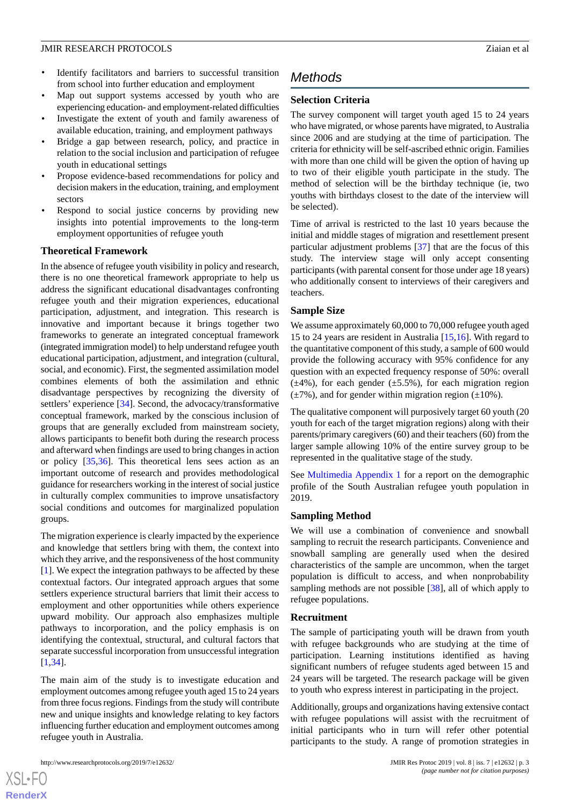- Identify facilitators and barriers to successful transition from school into further education and employment
- Map out support systems accessed by youth who are experiencing education- and employment-related difficulties
- Investigate the extent of youth and family awareness of available education, training, and employment pathways
- Bridge a gap between research, policy, and practice in relation to the social inclusion and participation of refugee youth in educational settings
- Propose evidence-based recommendations for policy and decision makers in the education, training, and employment sectors
- Respond to social justice concerns by providing new insights into potential improvements to the long-term employment opportunities of refugee youth

#### **Theoretical Framework**

In the absence of refugee youth visibility in policy and research, there is no one theoretical framework appropriate to help us address the significant educational disadvantages confronting refugee youth and their migration experiences, educational participation, adjustment, and integration. This research is innovative and important because it brings together two frameworks to generate an integrated conceptual framework (integrated immigration model) to help understand refugee youth educational participation, adjustment, and integration (cultural, social, and economic). First, the segmented assimilation model combines elements of both the assimilation and ethnic disadvantage perspectives by recognizing the diversity of settlers' experience [\[34](#page-7-10)]. Second, the advocacy/transformative conceptual framework, marked by the conscious inclusion of groups that are generally excluded from mainstream society, allows participants to benefit both during the research process and afterward when findings are used to bring changes in action or policy [[35](#page-7-11)[,36](#page-7-12)]. This theoretical lens sees action as an important outcome of research and provides methodological guidance for researchers working in the interest of social justice in culturally complex communities to improve unsatisfactory social conditions and outcomes for marginalized population groups.

The migration experience is clearly impacted by the experience and knowledge that settlers bring with them, the context into which they arrive, and the responsiveness of the host community [[1\]](#page-6-0). We expect the integration pathways to be affected by these contextual factors. Our integrated approach argues that some settlers experience structural barriers that limit their access to employment and other opportunities while others experience upward mobility. Our approach also emphasizes multiple pathways to incorporation, and the policy emphasis is on identifying the contextual, structural, and cultural factors that separate successful incorporation from unsuccessful integration [[1](#page-6-0)[,34](#page-7-10)].

The main aim of the study is to investigate education and employment outcomes among refugee youth aged 15 to 24 years from three focus regions. Findings from the study will contribute new and unique insights and knowledge relating to key factors influencing further education and employment outcomes among refugee youth in Australia.

 $XS$  $\cdot$ FC **[RenderX](http://www.renderx.com/)**

# *Methods*

### **Selection Criteria**

The survey component will target youth aged 15 to 24 years who have migrated, or whose parents have migrated, to Australia since 2006 and are studying at the time of participation. The criteria for ethnicity will be self-ascribed ethnic origin. Families with more than one child will be given the option of having up to two of their eligible youth participate in the study. The method of selection will be the birthday technique (ie, two youths with birthdays closest to the date of the interview will be selected).

Time of arrival is restricted to the last 10 years because the initial and middle stages of migration and resettlement present particular adjustment problems [\[37](#page-7-13)] that are the focus of this study. The interview stage will only accept consenting participants (with parental consent for those under age 18 years) who additionally consent to interviews of their caregivers and teachers.

#### **Sample Size**

We assume approximately 60,000 to 70,000 refugee youth aged 15 to 24 years are resident in Australia [\[15](#page-6-12),[16\]](#page-6-13). With regard to the quantitative component of this study, a sample of 600 would provide the following accuracy with 95% confidence for any question with an expected frequency response of 50%: overall  $(\pm 4\%)$ , for each gender  $(\pm 5.5\%)$ , for each migration region  $(\pm 7\%)$ , and for gender within migration region ( $\pm 10\%$ ).

The qualitative component will purposively target 60 youth (20 youth for each of the target migration regions) along with their parents/primary caregivers (60) and their teachers (60) from the larger sample allowing 10% of the entire survey group to be represented in the qualitative stage of the study.

See [Multimedia Appendix 1](#page-6-21) for a report on the demographic profile of the South Australian refugee youth population in 2019.

#### **Sampling Method**

We will use a combination of convenience and snowball sampling to recruit the research participants. Convenience and snowball sampling are generally used when the desired characteristics of the sample are uncommon, when the target population is difficult to access, and when nonprobability sampling methods are not possible [[38\]](#page-7-14), all of which apply to refugee populations.

#### **Recruitment**

The sample of participating youth will be drawn from youth with refugee backgrounds who are studying at the time of participation. Learning institutions identified as having significant numbers of refugee students aged between 15 and 24 years will be targeted. The research package will be given to youth who express interest in participating in the project.

Additionally, groups and organizations having extensive contact with refugee populations will assist with the recruitment of initial participants who in turn will refer other potential participants to the study. A range of promotion strategies in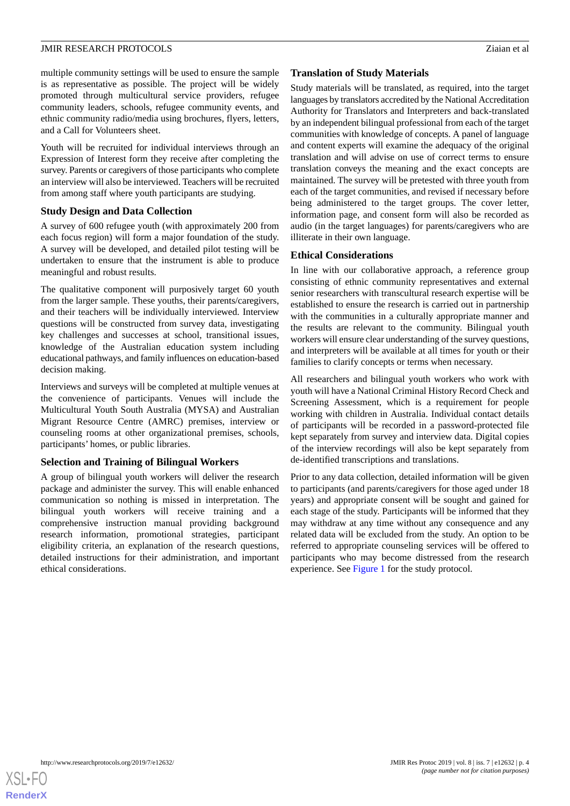multiple community settings will be used to ensure the sample is as representative as possible. The project will be widely promoted through multicultural service providers, refugee community leaders, schools, refugee community events, and ethnic community radio/media using brochures, flyers, letters, and a Call for Volunteers sheet.

Youth will be recruited for individual interviews through an Expression of Interest form they receive after completing the survey. Parents or caregivers of those participants who complete an interview will also be interviewed. Teachers will be recruited from among staff where youth participants are studying.

#### **Study Design and Data Collection**

A survey of 600 refugee youth (with approximately 200 from each focus region) will form a major foundation of the study. A survey will be developed, and detailed pilot testing will be undertaken to ensure that the instrument is able to produce meaningful and robust results.

The qualitative component will purposively target 60 youth from the larger sample. These youths, their parents/caregivers, and their teachers will be individually interviewed. Interview questions will be constructed from survey data, investigating key challenges and successes at school, transitional issues, knowledge of the Australian education system including educational pathways, and family influences on education-based decision making.

Interviews and surveys will be completed at multiple venues at the convenience of participants. Venues will include the Multicultural Youth South Australia (MYSA) and Australian Migrant Resource Centre (AMRC) premises, interview or counseling rooms at other organizational premises, schools, participants' homes, or public libraries.

#### **Selection and Training of Bilingual Workers**

A group of bilingual youth workers will deliver the research package and administer the survey. This will enable enhanced communication so nothing is missed in interpretation. The bilingual youth workers will receive training and a comprehensive instruction manual providing background research information, promotional strategies, participant eligibility criteria, an explanation of the research questions, detailed instructions for their administration, and important ethical considerations.

#### **Translation of Study Materials**

Study materials will be translated, as required, into the target languages by translators accredited by the National Accreditation Authority for Translators and Interpreters and back-translated by an independent bilingual professional from each of the target communities with knowledge of concepts. A panel of language and content experts will examine the adequacy of the original translation and will advise on use of correct terms to ensure translation conveys the meaning and the exact concepts are maintained. The survey will be pretested with three youth from each of the target communities, and revised if necessary before being administered to the target groups. The cover letter, information page, and consent form will also be recorded as audio (in the target languages) for parents/caregivers who are illiterate in their own language.

#### **Ethical Considerations**

In line with our collaborative approach, a reference group consisting of ethnic community representatives and external senior researchers with transcultural research expertise will be established to ensure the research is carried out in partnership with the communities in a culturally appropriate manner and the results are relevant to the community. Bilingual youth workers will ensure clear understanding of the survey questions, and interpreters will be available at all times for youth or their families to clarify concepts or terms when necessary.

All researchers and bilingual youth workers who work with youth will have a National Criminal History Record Check and Screening Assessment, which is a requirement for people working with children in Australia. Individual contact details of participants will be recorded in a password-protected file kept separately from survey and interview data. Digital copies of the interview recordings will also be kept separately from de-identified transcriptions and translations.

Prior to any data collection, detailed information will be given to participants (and parents/caregivers for those aged under 18 years) and appropriate consent will be sought and gained for each stage of the study. Participants will be informed that they may withdraw at any time without any consequence and any related data will be excluded from the study. An option to be referred to appropriate counseling services will be offered to participants who may become distressed from the research experience. See [Figure 1](#page-4-0) for the study protocol.

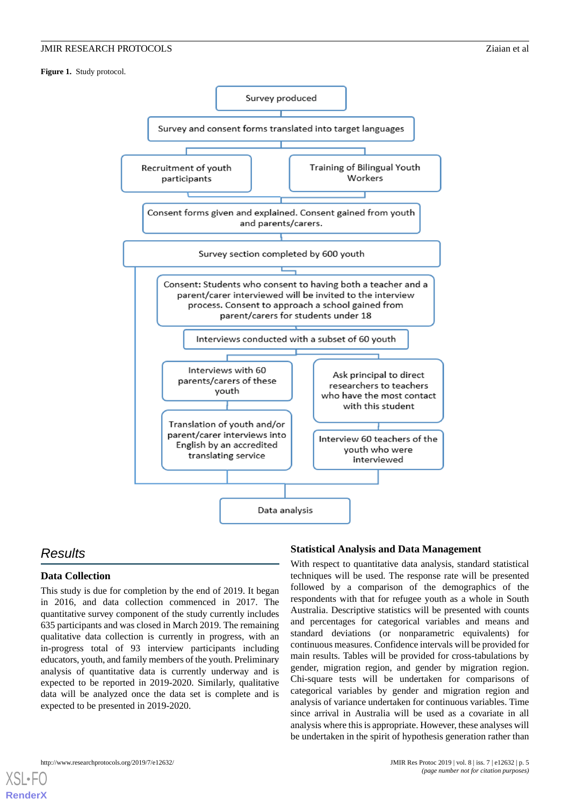<span id="page-4-0"></span>**Figure 1.** Study protocol.



# *Results*

[XSL](http://www.w3.org/Style/XSL)•FO **[RenderX](http://www.renderx.com/)**

### **Data Collection**

This study is due for completion by the end of 2019. It began in 2016, and data collection commenced in 2017. The quantitative survey component of the study currently includes 635 participants and was closed in March 2019. The remaining qualitative data collection is currently in progress, with an in-progress total of 93 interview participants including educators, youth, and family members of the youth. Preliminary analysis of quantitative data is currently underway and is expected to be reported in 2019-2020. Similarly, qualitative data will be analyzed once the data set is complete and is expected to be presented in 2019-2020.

#### **Statistical Analysis and Data Management**

With respect to quantitative data analysis, standard statistical techniques will be used. The response rate will be presented followed by a comparison of the demographics of the respondents with that for refugee youth as a whole in South Australia. Descriptive statistics will be presented with counts and percentages for categorical variables and means and standard deviations (or nonparametric equivalents) for continuous measures. Confidence intervals will be provided for main results. Tables will be provided for cross-tabulations by gender, migration region, and gender by migration region. Chi-square tests will be undertaken for comparisons of categorical variables by gender and migration region and analysis of variance undertaken for continuous variables. Time since arrival in Australia will be used as a covariate in all analysis where this is appropriate. However, these analyses will be undertaken in the spirit of hypothesis generation rather than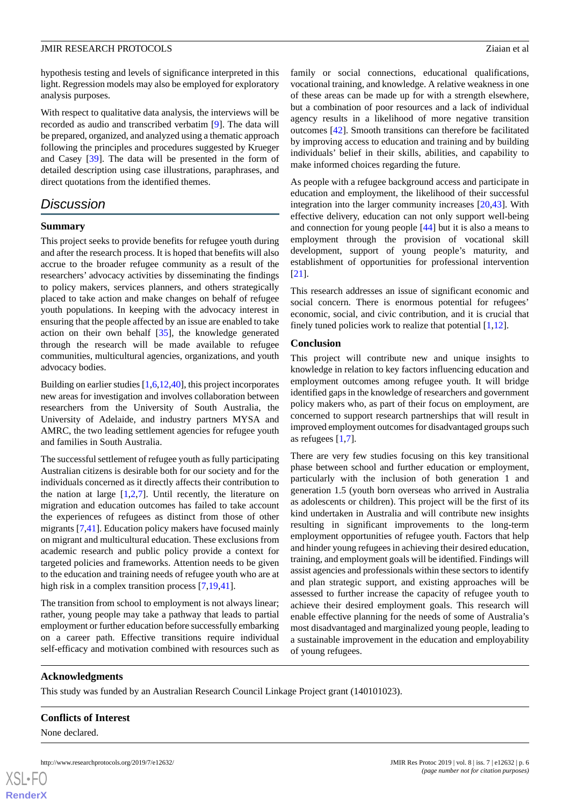hypothesis testing and levels of significance interpreted in this light. Regression models may also be employed for exploratory analysis purposes.

With respect to qualitative data analysis, the interviews will be recorded as audio and transcribed verbatim [[9\]](#page-6-22). The data will be prepared, organized, and analyzed using a thematic approach following the principles and procedures suggested by Krueger and Casey [\[39](#page-7-15)]. The data will be presented in the form of detailed description using case illustrations, paraphrases, and direct quotations from the identified themes.

# *Discussion*

#### **Summary**

This project seeks to provide benefits for refugee youth during and after the research process. It is hoped that benefits will also accrue to the broader refugee community as a result of the researchers' advocacy activities by disseminating the findings to policy makers, services planners, and others strategically placed to take action and make changes on behalf of refugee youth populations. In keeping with the advocacy interest in ensuring that the people affected by an issue are enabled to take action on their own behalf [[35\]](#page-7-11), the knowledge generated through the research will be made available to refugee communities, multicultural agencies, organizations, and youth advocacy bodies.

Building on earlier studies [[1](#page-6-0)[,6](#page-6-3)[,12](#page-6-8),[40\]](#page-7-16), this project incorporates new areas for investigation and involves collaboration between researchers from the University of South Australia, the University of Adelaide, and industry partners MYSA and AMRC, the two leading settlement agencies for refugee youth and families in South Australia.

The successful settlement of refugee youth as fully participating Australian citizens is desirable both for our society and for the individuals concerned as it directly affects their contribution to the nation at large  $[1,2,7]$  $[1,2,7]$  $[1,2,7]$  $[1,2,7]$  $[1,2,7]$ . Until recently, the literature on migration and education outcomes has failed to take account the experiences of refugees as distinct from those of other migrants [\[7](#page-6-4),[41\]](#page-7-17). Education policy makers have focused mainly on migrant and multicultural education. These exclusions from academic research and public policy provide a context for targeted policies and frameworks. Attention needs to be given to the education and training needs of refugee youth who are at high risk in a complex transition process [\[7](#page-6-4),[19](#page-6-17)[,41](#page-7-17)].

The transition from school to employment is not always linear; rather, young people may take a pathway that leads to partial employment or further education before successfully embarking on a career path. Effective transitions require individual self-efficacy and motivation combined with resources such as

family or social connections, educational qualifications, vocational training, and knowledge. A relative weakness in one of these areas can be made up for with a strength elsewhere, but a combination of poor resources and a lack of individual agency results in a likelihood of more negative transition outcomes [\[42](#page-7-18)]. Smooth transitions can therefore be facilitated by improving access to education and training and by building individuals' belief in their skills, abilities, and capability to make informed choices regarding the future.

As people with a refugee background access and participate in education and employment, the likelihood of their successful integration into the larger community increases [[20,](#page-6-18)[43](#page-7-19)]. With effective delivery, education can not only support well-being and connection for young people [[44\]](#page-7-20) but it is also a means to employment through the provision of vocational skill development, support of young people's maturity, and establishment of opportunities for professional intervention [[21\]](#page-6-19).

This research addresses an issue of significant economic and social concern. There is enormous potential for refugees' economic, social, and civic contribution, and it is crucial that finely tuned policies work to realize that potential [\[1](#page-6-0),[12\]](#page-6-8).

#### **Conclusion**

This project will contribute new and unique insights to knowledge in relation to key factors influencing education and employment outcomes among refugee youth. It will bridge identified gaps in the knowledge of researchers and government policy makers who, as part of their focus on employment, are concerned to support research partnerships that will result in improved employment outcomes for disadvantaged groups such as refugees [\[1](#page-6-0),[7\]](#page-6-4).

There are very few studies focusing on this key transitional phase between school and further education or employment, particularly with the inclusion of both generation 1 and generation 1.5 (youth born overseas who arrived in Australia as adolescents or children). This project will be the first of its kind undertaken in Australia and will contribute new insights resulting in significant improvements to the long-term employment opportunities of refugee youth. Factors that help and hinder young refugees in achieving their desired education, training, and employment goals will be identified. Findings will assist agencies and professionals within these sectors to identify and plan strategic support, and existing approaches will be assessed to further increase the capacity of refugee youth to achieve their desired employment goals. This research will enable effective planning for the needs of some of Australia's most disadvantaged and marginalized young people, leading to a sustainable improvement in the education and employability of young refugees.

#### **Acknowledgments**

This study was funded by an Australian Research Council Linkage Project grant (140101023).

#### **Conflicts of Interest**

None declared.

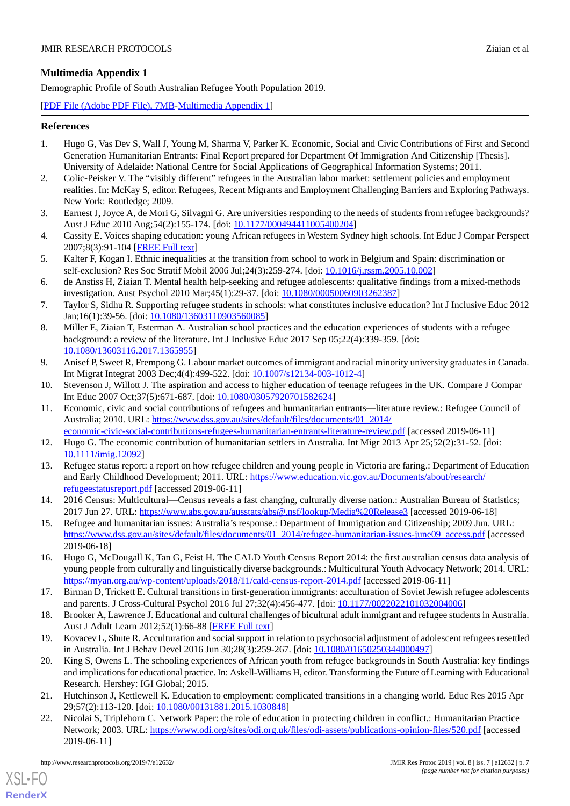# <span id="page-6-21"></span>**Multimedia Appendix 1**

Demographic Profile of South Australian Refugee Youth Population 2019.

[[PDF File \(Adobe PDF File\), 7MB](https://jmir.org/api/download?alt_name=resprot_v8i7e12632_app1.pdf&filename=04a008357d54a192f717cf7443114c5c.pdf)-[Multimedia Appendix 1\]](https://jmir.org/api/download?alt_name=resprot_v8i7e12632_app1.pdf&filename=04a008357d54a192f717cf7443114c5c.pdf)

# <span id="page-6-0"></span>**References**

- 1. Hugo G, Vas Dev S, Wall J, Young M, Sharma V, Parker K. Economic, Social and Civic Contributions of First and Second Generation Humanitarian Entrants: Final Report prepared for Department Of Immigration And Citizenship [Thesis]. University of Adelaide: National Centre for Social Applications of Geographical Information Systems; 2011.
- <span id="page-6-9"></span><span id="page-6-1"></span>2. Colic-Peisker V. The "visibly different" refugees in the Australian labor market: settlement policies and employment realities. In: McKay S, editor. Refugees, Recent Migrants and Employment Challenging Barriers and Exploring Pathways. New York: Routledge; 2009.
- <span id="page-6-16"></span>3. Earnest J, Joyce A, de Mori G, Silvagni G. Are universities responding to the needs of students from refugee backgrounds? Aust J Educ 2010 Aug;54(2):155-174. [doi: [10.1177/000494411005400204](http://dx.doi.org/10.1177/000494411005400204)]
- <span id="page-6-2"></span>4. Cassity E. Voices shaping education: young African refugees in Western Sydney high schools. Int Educ J Compar Perspect 2007;8(3):91-104 [[FREE Full text](http://citeseerx.ist.psu.edu/viewdoc/download?doi=10.1.1.912.7153&rep=rep1&type=pdf)]
- <span id="page-6-3"></span>5. Kalter F, Kogan I. Ethnic inequalities at the transition from school to work in Belgium and Spain: discrimination or self-exclusion? Res Soc Stratif Mobil 2006 Jul;24(3):259-274. [doi: [10.1016/j.rssm.2005.10.002\]](http://dx.doi.org/10.1016/j.rssm.2005.10.002)
- <span id="page-6-4"></span>6. de Anstiss H, Ziaian T. Mental health help-seeking and refugee adolescents: qualitative findings from a mixed-methods investigation. Aust Psychol 2010 Mar; 45(1): 29-37. [doi: [10.1080/00050060903262387](http://dx.doi.org/10.1080/00050060903262387)]
- <span id="page-6-5"></span>7. Taylor S, Sidhu R. Supporting refugee students in schools: what constitutes inclusive education? Int J Inclusive Educ 2012 Jan;16(1):39-56. [doi: [10.1080/13603110903560085](http://dx.doi.org/10.1080/13603110903560085)]
- <span id="page-6-22"></span>8. Miller E, Ziaian T, Esterman A. Australian school practices and the education experiences of students with a refugee background: a review of the literature. Int J Inclusive Educ 2017 Sep 05;22(4):339-359. [doi: [10.1080/13603116.2017.1365955\]](http://dx.doi.org/10.1080/13603116.2017.1365955)
- <span id="page-6-7"></span><span id="page-6-6"></span>9. Anisef P, Sweet R, Frempong G. Labour market outcomes of immigrant and racial minority university graduates in Canada. Int Migrat Integrat 2003 Dec;4(4):499-522. [doi: [10.1007/s12134-003-1012-4](http://dx.doi.org/10.1007/s12134-003-1012-4)]
- 10. Stevenson J, Willott J. The aspiration and access to higher education of teenage refugees in the UK. Compare J Compar Int Educ 2007 Oct;37(5):671-687. [doi: [10.1080/03057920701582624](http://dx.doi.org/10.1080/03057920701582624)]
- <span id="page-6-10"></span><span id="page-6-8"></span>11. Economic, civic and social contributions of refugees and humanitarian entrants—literature review.: Refugee Council of Australia; 2010. URL: [https://www.dss.gov.au/sites/default/files/documents/01\\_2014/](https://www.dss.gov.au/sites/default/files/documents/01_2014/economic-civic-social-contributions-refugees-humanitarian-entrants-literature-review.pdf) [economic-civic-social-contributions-refugees-humanitarian-entrants-literature-review.pdf](https://www.dss.gov.au/sites/default/files/documents/01_2014/economic-civic-social-contributions-refugees-humanitarian-entrants-literature-review.pdf) [accessed 2019-06-11]
- <span id="page-6-11"></span>12. Hugo G. The economic contribution of humanitarian settlers in Australia. Int Migr 2013 Apr 25;52(2):31-52. [doi: [10.1111/imig.12092\]](http://dx.doi.org/10.1111/imig.12092)
- <span id="page-6-12"></span>13. Refugee status report: a report on how refugee children and young people in Victoria are faring.: Department of Education and Early Childhood Development; 2011. URL: [https://www.education.vic.gov.au/Documents/about/research/](https://www.education.vic.gov.au/Documents/about/research/refugeestatusreport.pdf) [refugeestatusreport.pdf](https://www.education.vic.gov.au/Documents/about/research/refugeestatusreport.pdf) [accessed 2019-06-11]
- <span id="page-6-13"></span>14. 2016 Census: Multicultural—Census reveals a fast changing, culturally diverse nation.: Australian Bureau of Statistics; 2017 Jun 27. URL: <https://www.abs.gov.au/ausstats/abs@.nsf/lookup/Media%20Release3> [accessed 2019-06-18]
- <span id="page-6-14"></span>15. Refugee and humanitarian issues: Australia's response.: Department of Immigration and Citizenship; 2009 Jun. URL: [https://www.dss.gov.au/sites/default/files/documents/01\\_2014/refugee-humanitarian-issues-june09\\_access.pdf](https://www.dss.gov.au/sites/default/files/documents/01_2014/refugee-humanitarian-issues-june09_access.pdf) [accessed] 2019-06-18]
- <span id="page-6-17"></span><span id="page-6-15"></span>16. Hugo G, McDougall K, Tan G, Feist H. The CALD Youth Census Report 2014: the first australian census data analysis of young people from culturally and linguistically diverse backgrounds.: Multicultural Youth Advocacy Network; 2014. URL: <https://myan.org.au/wp-content/uploads/2018/11/cald-census-report-2014.pdf> [accessed 2019-06-11]
- <span id="page-6-18"></span>17. Birman D, Trickett E. Cultural transitions in first-generation immigrants: acculturation of Soviet Jewish refugee adolescents and parents. J Cross-Cultural Psychol 2016 Jul 27;32(4):456-477. [doi: [10.1177/0022022101032004006](http://dx.doi.org/10.1177/0022022101032004006)]
- <span id="page-6-19"></span>18. Brooker A, Lawrence J. Educational and cultural challenges of bicultural adult immigrant and refugee students in Australia. Aust J Adult Learn 2012;52(1):66-88 [[FREE Full text](https://files.eric.ed.gov/fulltext/EJ972831.pdf)]
- <span id="page-6-20"></span>19. Kovacev L, Shute R. Acculturation and social support in relation to psychosocial adjustment of adolescent refugees resettled in Australia. Int J Behav Devel 2016 Jun 30;28(3):259-267. [doi: [10.1080/01650250344000497](http://dx.doi.org/10.1080/01650250344000497)]
- 20. King S, Owens L. The schooling experiences of African youth from refugee backgrounds in South Australia: key findings and implications for educational practice. In: Askell-Williams H, editor. Transforming the Future of Learning with Educational Research. Hershey: IGI Global; 2015.
- 21. Hutchinson J, Kettlewell K. Education to employment: complicated transitions in a changing world. Educ Res 2015 Apr 29;57(2):113-120. [doi: [10.1080/00131881.2015.1030848\]](http://dx.doi.org/10.1080/00131881.2015.1030848)
- 22. Nicolai S, Triplehorn C. Network Paper: the role of education in protecting children in conflict.: Humanitarian Practice Network; 2003. URL: <https://www.odi.org/sites/odi.org.uk/files/odi-assets/publications-opinion-files/520.pdf> [accessed 2019-06-11]

[XSL](http://www.w3.org/Style/XSL)•FO **[RenderX](http://www.renderx.com/)**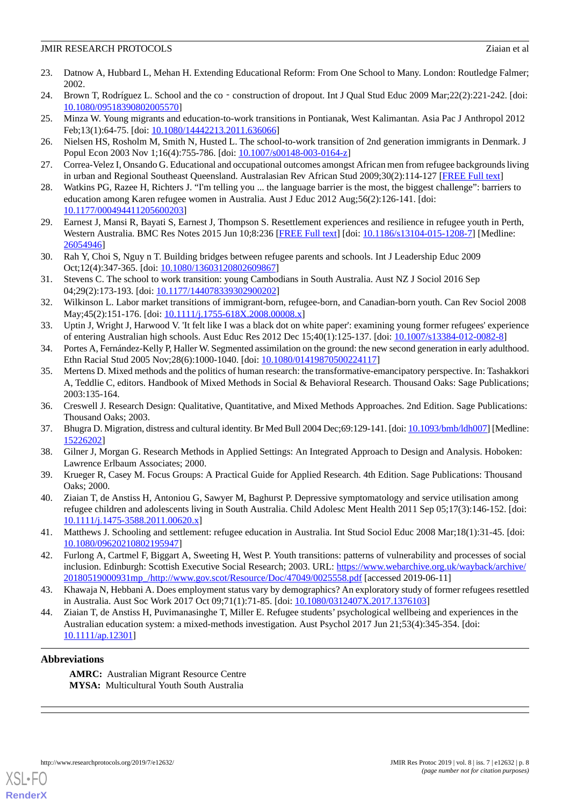- <span id="page-7-0"></span>23. Datnow A, Hubbard L, Mehan H. Extending Educational Reform: From One School to Many. London: Routledge Falmer; 2002.
- <span id="page-7-2"></span><span id="page-7-1"></span>24. Brown T, Rodríguez L. School and the co - construction of dropout. Int J Qual Stud Educ 2009 Mar;22(2):221-242. [doi: [10.1080/09518390802005570\]](http://dx.doi.org/10.1080/09518390802005570)
- <span id="page-7-3"></span>25. Minza W. Young migrants and education-to-work transitions in Pontianak, West Kalimantan. Asia Pac J Anthropol 2012 Feb;13(1):64-75. [doi: [10.1080/14442213.2011.636066\]](http://dx.doi.org/10.1080/14442213.2011.636066)
- <span id="page-7-4"></span>26. Nielsen HS, Rosholm M, Smith N, Husted L. The school-to-work transition of 2nd generation immigrants in Denmark. J Popul Econ 2003 Nov 1;16(4):755-786. [doi: [10.1007/s00148-003-0164-z](http://dx.doi.org/10.1007/s00148-003-0164-z)]
- <span id="page-7-5"></span>27. Correa-Velez I, Onsando G. Educational and occupational outcomes amongst African men from refugee backgrounds living in urban and Regional Southeast Queensland. Australasian Rev African Stud 2009;30(2):114-127 [\[FREE Full text\]](https://research-repository.griffith.edu.au/bitstream/handle/10072/58919/89183_1.pdf;sequence=1)
- <span id="page-7-6"></span>28. Watkins PG, Razee H, Richters J. "I'm telling you ... the language barrier is the most, the biggest challenge": barriers to education among Karen refugee women in Australia. Aust J Educ 2012 Aug;56(2):126-141. [doi: [10.1177/000494411205600203\]](http://dx.doi.org/10.1177/000494411205600203)
- <span id="page-7-7"></span>29. Earnest J, Mansi R, Bayati S, Earnest J, Thompson S. Resettlement experiences and resilience in refugee youth in Perth, Western Australia. BMC Res Notes 2015 Jun 10;8:236 [[FREE Full text\]](https://bmcresnotes.biomedcentral.com/articles/10.1186/s13104-015-1208-7) [doi: [10.1186/s13104-015-1208-7](http://dx.doi.org/10.1186/s13104-015-1208-7)] [Medline: [26054946](http://www.ncbi.nlm.nih.gov/entrez/query.fcgi?cmd=Retrieve&db=PubMed&list_uids=26054946&dopt=Abstract)]
- <span id="page-7-8"></span>30. Rah Y, Choi S, Nguy n T. Building bridges between refugee parents and schools. Int J Leadership Educ 2009 Oct;12(4):347-365. [doi: [10.1080/13603120802609867](http://dx.doi.org/10.1080/13603120802609867)]
- 31. Stevens C. The school to work transition: young Cambodians in South Australia. Aust NZ J Sociol 2016 Sep 04;29(2):173-193. [doi: [10.1177/144078339302900202\]](http://dx.doi.org/10.1177/144078339302900202)
- <span id="page-7-9"></span>32. Wilkinson L. Labor market transitions of immigrant-born, refugee-born, and Canadian-born youth. Can Rev Sociol 2008 May; 45(2): 151-176. [doi: [10.1111/j.1755-618X.2008.00008.x](http://dx.doi.org/10.1111/j.1755-618X.2008.00008.x)]
- <span id="page-7-11"></span><span id="page-7-10"></span>33. Uptin J, Wright J, Harwood V. 'It felt like I was a black dot on white paper': examining young former refugees' experience of entering Australian high schools. Aust Educ Res 2012 Dec 15;40(1):125-137. [doi: [10.1007/s13384-012-0082-8](http://dx.doi.org/10.1007/s13384-012-0082-8)]
- 34. Portes A, Fernández-Kelly P, Haller W. Segmented assimilation on the ground: the new second generation in early adulthood. Ethn Racial Stud 2005 Nov;28(6):1000-1040. [doi: [10.1080/01419870500224117\]](http://dx.doi.org/10.1080/01419870500224117)
- <span id="page-7-13"></span><span id="page-7-12"></span>35. Mertens D. Mixed methods and the politics of human research: the transformative-emancipatory perspective. In: Tashakkori A, Teddlie C, editors. Handbook of Mixed Methods in Social & Behavioral Research. Thousand Oaks: Sage Publications; 2003:135-164.
- <span id="page-7-14"></span>36. Creswell J. Research Design: Qualitative, Quantitative, and Mixed Methods Approaches. 2nd Edition. Sage Publications: Thousand Oaks; 2003.
- <span id="page-7-15"></span>37. Bhugra D. Migration, distress and cultural identity. Br Med Bull 2004 Dec;69:129-141. [doi: [10.1093/bmb/ldh007\]](http://dx.doi.org/10.1093/bmb/ldh007) [Medline: [15226202](http://www.ncbi.nlm.nih.gov/entrez/query.fcgi?cmd=Retrieve&db=PubMed&list_uids=15226202&dopt=Abstract)]
- <span id="page-7-16"></span>38. Gilner J, Morgan G. Research Methods in Applied Settings: An Integrated Approach to Design and Analysis. Hoboken: Lawrence Erlbaum Associates; 2000.
- <span id="page-7-17"></span>39. Krueger R, Casey M. Focus Groups: A Practical Guide for Applied Research. 4th Edition. Sage Publications: Thousand Oaks; 2000.
- <span id="page-7-18"></span>40. Ziaian T, de Anstiss H, Antoniou G, Sawyer M, Baghurst P. Depressive symptomatology and service utilisation among refugee children and adolescents living in South Australia. Child Adolesc Ment Health 2011 Sep 05;17(3):146-152. [doi: [10.1111/j.1475-3588.2011.00620.x\]](http://dx.doi.org/10.1111/j.1475-3588.2011.00620.x)
- <span id="page-7-19"></span>41. Matthews J. Schooling and settlement: refugee education in Australia. Int Stud Sociol Educ 2008 Mar;18(1):31-45. [doi: [10.1080/09620210802195947\]](http://dx.doi.org/10.1080/09620210802195947)
- <span id="page-7-20"></span>42. Furlong A, Cartmel F, Biggart A, Sweeting H, West P. Youth transitions: patterns of vulnerability and processes of social inclusion. Edinburgh: Scottish Executive Social Research; 2003. URL: [https://www.webarchive.org.uk/wayback/archive/](https://www.webarchive.org.uk/wayback/archive/20180519000931mp_/http://www.gov.scot/Resource/Doc/47049/0025558.pdf) [20180519000931mp\\_/http://www.gov.scot/Resource/Doc/47049/0025558.pdf](https://www.webarchive.org.uk/wayback/archive/20180519000931mp_/http://www.gov.scot/Resource/Doc/47049/0025558.pdf) [accessed 2019-06-11]
- 43. Khawaja N, Hebbani A. Does employment status vary by demographics? An exploratory study of former refugees resettled in Australia. Aust Soc Work 2017 Oct 09;71(1):71-85. [doi: [10.1080/0312407X.2017.1376103\]](http://dx.doi.org/10.1080/0312407X.2017.1376103)
- 44. Ziaian T, de Anstiss H, Puvimanasinghe T, Miller E. Refugee students' psychological wellbeing and experiences in the Australian education system: a mixed-methods investigation. Aust Psychol 2017 Jun 21;53(4):345-354. [doi: [10.1111/ap.12301\]](http://dx.doi.org/10.1111/ap.12301)

### **Abbreviations**

**AMRC:** Australian Migrant Resource Centre **MYSA:** Multicultural Youth South Australia